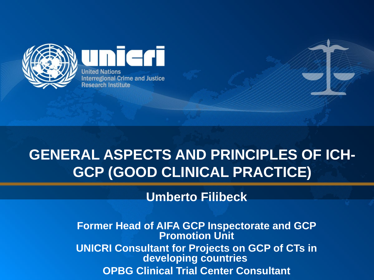

eri **United Nations Interregional Crime and Justice Research Institute** 

# **GENERAL ASPECTS AND PRINCIPLES OF ICH-GCP (GOOD CLINICAL PRACTICE)**

**Umberto Filibeck**

**Former Head of AIFA GCP Inspectorate and GCP Promotion Unit UNICRI Consultant for Projects on GCP of CTs in developing countries OPBG Clinical Trial Center Consultant**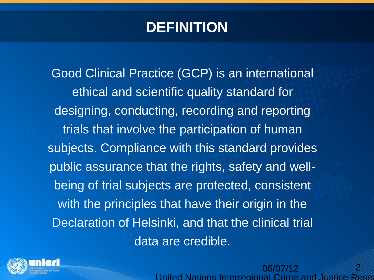### **DEFINITION**

Good Clinical Practice (GCP) is an international ethical and scientific quality standard for designing, conducting, recording and reporting trials that involve the participation of human subjects. Compliance with this standard provides public assurance that the rights, safety and wellbeing of trial subjects are protected, consistent with the principles that have their origin in the Declaration of Helsinki, and that the clinical trial data are credible.



06/07/12 United Nations Interregional Crime and Justic 2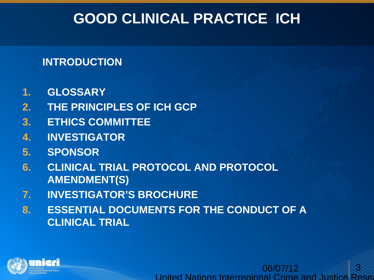### **GOOD CLINICAL PRACTICE ICH**

#### **INTRODUCTION**

- **1. GLOSSARY**
- **2. THE PRINCIPLES OF ICH GCP**
- **3. ETHICS COMMITTEE**
- **4. INVESTIGATOR**
- **5. SPONSOR**
- **6. CLINICAL TRIAL PROTOCOL AND PROTOCOL AMENDMENT(S)**
- **7. INVESTIGATOR'S BROCHURE**
- **8. ESSENTIAL DOCUMENTS FOR THE CONDUCT OF A CLINICAL TRIAL**



06/07/12 United Nations Interregional Crime and Justice Rese 3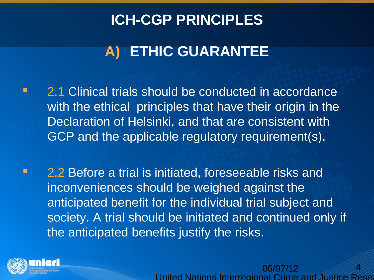# **A) ETHIC GUARANTEE**

- **2.1 Clinical trials should be conducted in accordance** with the ethical principles that have their origin in the Declaration of Helsinki, and that are consistent with GCP and the applicable regulatory requirement(s).
- **2.2 Before a trial is initiated, foreseeable risks and** inconveniences should be weighed against the anticipated benefit for the individual trial subject and society. A trial should be initiated and continued only if the anticipated benefits justify the risks.



06/07/12 United Nations Interregional Crime and Just 4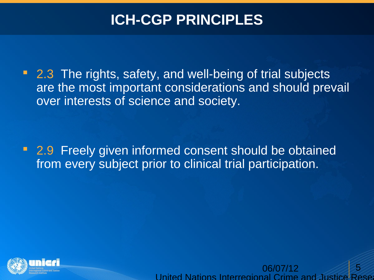• 2.3 The rights, safety, and well-being of trial subjects are the most important considerations and should prevail over interests of science and society.

**2.9 Freely given informed consent should be obtained** from every subject prior to clinical trial participation.



06/07/12 United Nations Interregional Crime and Justice 5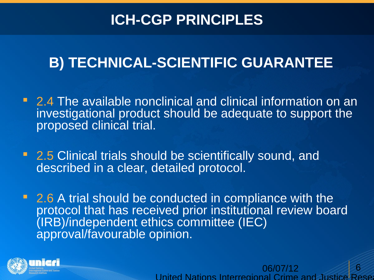# **B) TECHNICAL-SCIENTIFIC GUARANTEE**

- 2.4 The available nonclinical and clinical information on an investigational product should be adequate to support the proposed clinical trial.
- 2.5 Clinical trials should be scientifically sound, and described in a clear, detailed protocol.
- 2.6 A trial should be conducted in compliance with the protocol that has received prior institutional review board (IRB)/independent ethics committee (IEC) approval/favourable opinion.



06/07/12 United Nations Interregional Crime and Justic 6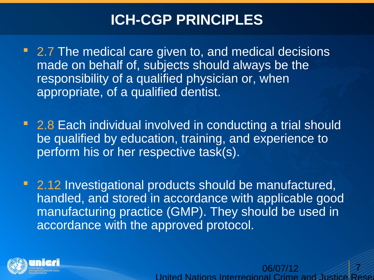- 2.7 The medical care given to, and medical decisions made on behalf of, subjects should always be the responsibility of a qualified physician or, when appropriate, of a qualified dentist.
- 2.8 Each individual involved in conducting a trial should be qualified by education, training, and experience to perform his or her respective task(s).
- 2.12 Investigational products should be manufactured, handled, and stored in accordance with applicable good manufacturing practice (GMP). They should be used in accordance with the approved protocol.



06/07/12 United Nations Interregional Crime and Just 7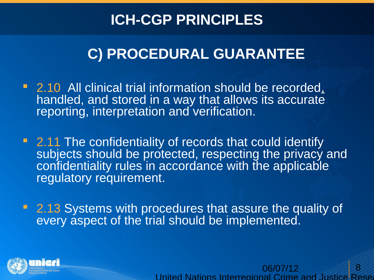## **C) PROCEDURAL GUARANTEE**

- **2.10 All clinical trial information should be recorded,** handled, and stored in a way that allows its accurate reporting, interpretation and verification.
- 2.11 The confidentiality of records that could identify subjects should be protected, respecting the privacy and confidentiality rules in accordance with the applicable regulatory requirement.
- **2.13 Systems with procedures that assure the quality of** every aspect of the trial should be implemented.



06/07/12 United Nations Interregional Crime and Justice 8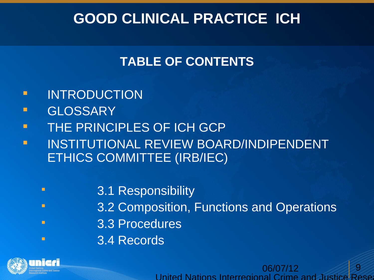## **GOOD CLINICAL PRACTICE ICH**

#### **TABLE OF CONTENTS**

- **INTRODUCTION**
- **GLOSSARY**
- **THE PRINCIPLES OF ICH GCP**
- **INSTITUTIONAL REVIEW BOARD/INDIPENDENT** ETHICS COMMITTEE (IRB/IEC)
	- **Example 2.1 Responsibility**
	- **Example 3.2 Composition, Functions and Operations**

06/07/12

 $\overline{9}$ 

United Nations Interregional Crime and Justice Rese

- 3.3 Procedures
- 3.4 Records

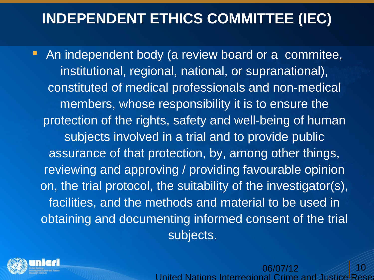**-** An independent body (a review board or a commitee, institutional, regional, national, or supranational), constituted of medical professionals and non-medical members, whose responsibility it is to ensure the protection of the rights, safety and well-being of human subjects involved in a trial and to provide public assurance of that protection, by, among other things, reviewing and approving / providing favourable opinion on, the trial protocol, the suitability of the investigator(s), facilities, and the methods and material to be used in obtaining and documenting informed consent of the trial subjects.



06/07/12 United Nations Interregional Crime and 10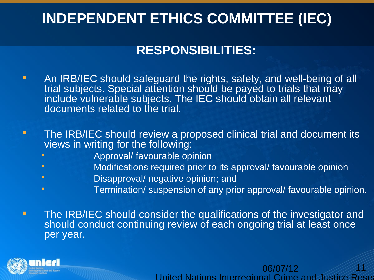#### **RESPONSIBILITIES:**

- **An IRB/IEC should safeguard the rights, safety, and well-being of all** trial subjects. Special attention should be payed to trials that may include vulnerable subjects. The IEC should obtain all relevant documents related to the trial.
- The IRB/IEC should review a proposed clinical trial and document its views in writing for the following:
	- **Approval/ favourable opinion**
	- **Example 3** Modifications required prior to its approval/ favourable opinion
	- Disapproval/ negative opinion; and
	- Termination/ suspension of any prior approval/ favourable opinion.
- The IRB/IEC should consider the qualifications of the investigator and should conduct continuing review of each ongoing trial at least once per year.



06/07/12 United Nations Interregional Crime and Justice Rese 11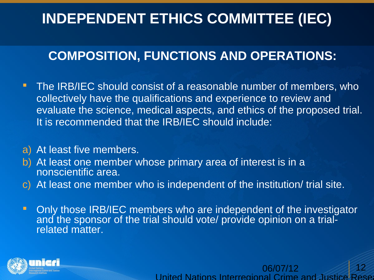#### **COMPOSITION, FUNCTIONS AND OPERATIONS:**

- **The IRB/IEC should consist of a reasonable number of members, who** collectively have the qualifications and experience to review and evaluate the science, medical aspects, and ethics of the proposed trial. It is recommended that the IRB/IEC should include:
- a) At least five members.
- b) At least one member whose primary area of interest is in a nonscientific area.
- c) At least one member who is independent of the institution/ trial site.
- **-** Only those IRB/IEC members who are independent of the investigator and the sponsor of the trial should vote/ provide opinion on a trialrelated matter.



06/07/12 United Nations Interregional Crime and Justice Res 12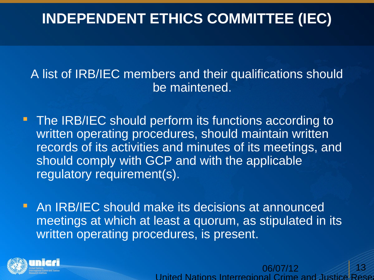A list of IRB/IEC members and their qualifications should be maintened.

- **The IRB/IEC should perform its functions according to** written operating procedures, should maintain written records of its activities and minutes of its meetings, and should comply with GCP and with the applicable regulatory requirement(s).
- **An IRB/IEC should make its decisions at announced** meetings at which at least a quorum, as stipulated in its written operating procedures, is present.



06/07/12 United Nations Interregional Crime and 13